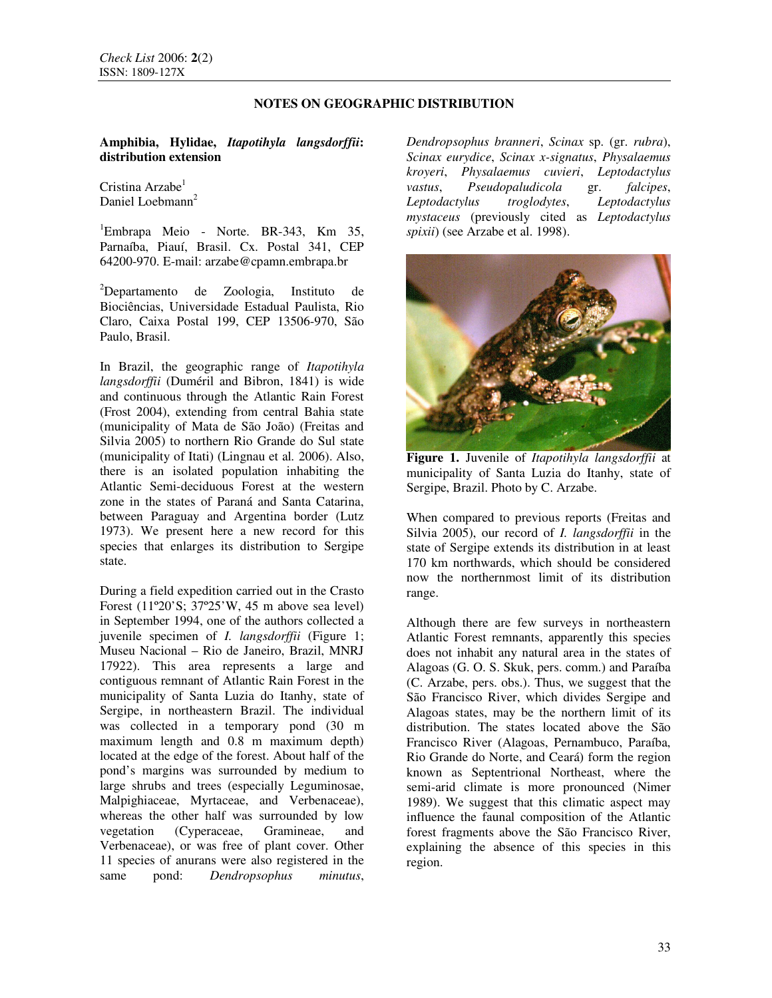## **NOTES ON GEOGRAPHIC DISTRIBUTION**

**Amphibia, Hylidae,** *Itapotihyla langsdorffii***: distribution extension**

Cristina Arzabe<sup>1</sup> Daniel Loebmann<sup>2</sup>

<sup>1</sup>Embrapa Meio - Norte. BR-343, Km 35, Parnaíba, Piauí, Brasil. Cx. Postal 341, CEP 64200-970. E-mail: arzabe@cpamn.embrapa.br

<sup>2</sup>Departamento de Zoologia, Instituto de Biociências, Universidade Estadual Paulista, Rio Claro, Caixa Postal 199, CEP 13506-970, São Paulo, Brasil.

In Brazil, the geographic range of *Itapotihyla langsdorffii* (Duméril and Bibron, 1841) is wide and continuous through the Atlantic Rain Forest (Frost 2004), extending from central Bahia state (municipality of Mata de São João) (Freitas and Silvia 2005) to northern Rio Grande do Sul state (municipality of Itati) (Lingnau et al*.* 2006). Also, there is an isolated population inhabiting the Atlantic Semi-deciduous Forest at the western zone in the states of Paraná and Santa Catarina, between Paraguay and Argentina border (Lutz 1973). We present here a new record for this species that enlarges its distribution to Sergipe state.

During a field expedition carried out in the Crasto Forest (11º20'S; 37º25'W, 45 m above sea level) in September 1994, one of the authors collected a juvenile specimen of *I. langsdorffii* (Figure 1; Museu Nacional – Rio de Janeiro, Brazil, MNRJ 17922). This area represents a large and contiguous remnant of Atlantic Rain Forest in the municipality of Santa Luzia do Itanhy, state of Sergipe, in northeastern Brazil. The individual was collected in a temporary pond (30 m maximum length and 0.8 m maximum depth) located at the edge of the forest. About half of the pond's margins was surrounded by medium to large shrubs and trees (especially Leguminosae, Malpighiaceae, Myrtaceae, and Verbenaceae), whereas the other half was surrounded by low vegetation (Cyperaceae, Gramineae, and Verbenaceae), or was free of plant cover. Other 11 species of anurans were also registered in the same pond: *Dendropsophus minutus*,

*Dendropsophus branneri*, *Scinax* sp. (gr. *rubra*), *Scinax eurydice*, *Scinax x-signatus*, *Physalaemus kroyeri*, *Physalaemus cuvieri*, *Leptodactylus vastus*, *Pseudopaludicola* gr. *falcipes*, *Leptodactylus troglodytes*, *Leptodactylus mystaceus* (previously cited as *Leptodactylus spixii*) (see Arzabe et al. 1998).



**Figure 1.** Juvenile of *Itapotihyla langsdorffii* at municipality of Santa Luzia do Itanhy, state of Sergipe, Brazil. Photo by C. Arzabe.

When compared to previous reports (Freitas and Silvia 2005), our record of *I. langsdorffii* in the state of Sergipe extends its distribution in at least 170 km northwards, which should be considered now the northernmost limit of its distribution range.

Although there are few surveys in northeastern Atlantic Forest remnants, apparently this species does not inhabit any natural area in the states of Alagoas (G. O. S. Skuk, pers. comm.) and Paraíba (C. Arzabe, pers. obs.). Thus, we suggest that the São Francisco River, which divides Sergipe and Alagoas states, may be the northern limit of its distribution. The states located above the São Francisco River (Alagoas, Pernambuco, Paraíba, Rio Grande do Norte, and Ceará) form the region known as Septentrional Northeast, where the semi-arid climate is more pronounced (Nimer 1989). We suggest that this climatic aspect may influence the faunal composition of the Atlantic forest fragments above the São Francisco River, explaining the absence of this species in this region.